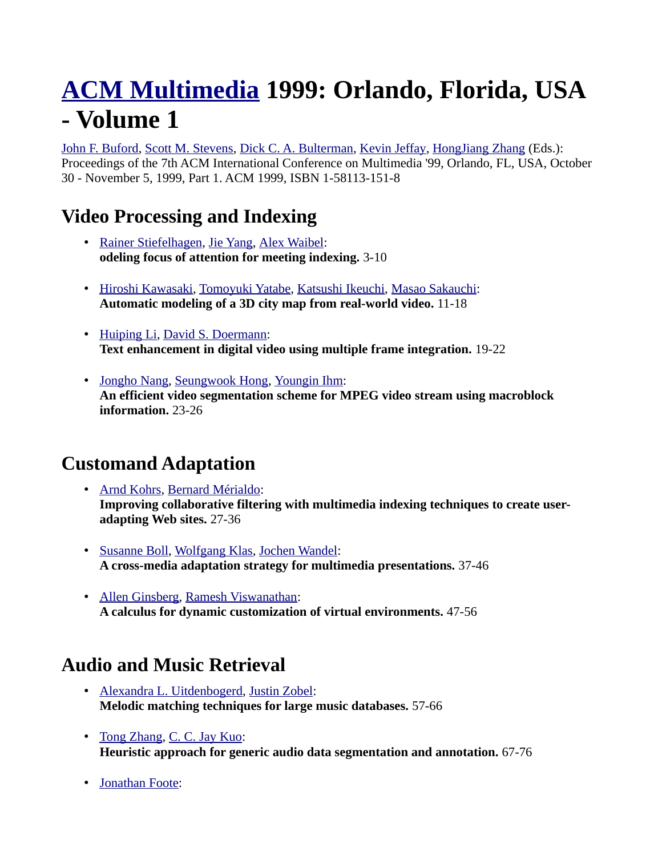# **[ACM Multimedia](http://www.informatik.uni-trier.de/~ley/db/conf/mm/index.html) 1999: Orlando, Florida, USA - Volume 1**

[John F. Buford,](http://www.informatik.uni-trier.de/~ley/db/indices/a-tree/b/Buford:John_F=.html) [Scott M. Stevens,](http://www.informatik.uni-trier.de/~ley/db/indices/a-tree/s/Stevens:Scott_M=.html) [Dick C. A. Bulterman,](http://www.informatik.uni-trier.de/~ley/db/indices/a-tree/b/Bulterman:Dick_C=_A=.html) [Kevin Jeffay,](http://www.informatik.uni-trier.de/~ley/db/indices/a-tree/j/Jeffay:Kevin.html) [HongJiang Zhang](http://www.informatik.uni-trier.de/~ley/db/indices/a-tree/z/Zhang:HongJiang.html) (Eds.): Proceedings of the 7th ACM International Conference on Multimedia '99, Orlando, FL, USA, October 30 - November 5, 1999, Part 1. ACM 1999, ISBN 1-58113-151-8

# **Video Processing and Indexing**

- • [Rainer Stiefelhagen,](http://www.informatik.uni-trier.de/~ley/db/indices/a-tree/s/Stiefelhagen:Rainer.html) [Jie Yang,](http://www.informatik.uni-trier.de/~ley/db/indices/a-tree/y/Yang_0001:Jie.html) [Alex Waibel:](http://www.informatik.uni-trier.de/~ley/db/indices/a-tree/w/Waibel:Alex.html) **odeling focus of attention for meeting indexing.** 3-10
- • [Hiroshi Kawasaki,](http://www.informatik.uni-trier.de/~ley/db/indices/a-tree/k/Kawasaki:Hiroshi.html) [Tomoyuki Yatabe,](http://www.informatik.uni-trier.de/~ley/db/indices/a-tree/y/Yatabe:Tomoyuki.html) [Katsushi Ikeuchi,](http://www.informatik.uni-trier.de/~ley/db/indices/a-tree/i/Ikeuchi:Katsushi.html) [Masao Sakauchi:](http://www.informatik.uni-trier.de/~ley/db/indices/a-tree/s/Sakauchi:Masao.html) **Automatic modeling of a 3D city map from real-world video.** 11-18
- • [Huiping Li,](http://www.informatik.uni-trier.de/~ley/db/indices/a-tree/l/Li:Huiping.html) [David S. Doermann:](http://www.informatik.uni-trier.de/~ley/db/indices/a-tree/d/Doermann:David_S=.html) **Text enhancement in digital video using multiple frame integration.** 19-22
- • [Jongho Nang,](http://www.informatik.uni-trier.de/~ley/db/indices/a-tree/n/Nang:Jongho.html) [Seungwook Hong,](http://www.informatik.uni-trier.de/~ley/db/indices/a-tree/h/Hong:Seungwook.html) [Youngin Ihm:](http://www.informatik.uni-trier.de/~ley/db/indices/a-tree/i/Ihm:Youngin.html) **An efficient video segmentation scheme for MPEG video stream using macroblock information.** 23-26

# **Customand Adaptation**

- • [Arnd Kohrs,](http://www.informatik.uni-trier.de/~ley/db/indices/a-tree/k/Kohrs:Arnd.html) [Bernard Mérialdo:](http://www.informatik.uni-trier.de/~ley/db/indices/a-tree/m/M=eacute=rialdo:Bernard.html) **Improving collaborative filtering with multimedia indexing techniques to create useradapting Web sites.** 27-36
- • [Susanne Boll,](http://www.informatik.uni-trier.de/~ley/db/indices/a-tree/b/Boll:Susanne.html) [Wolfgang Klas,](http://www.informatik.uni-trier.de/~ley/db/indices/a-tree/k/Klas:Wolfgang.html) [Jochen Wandel:](http://www.informatik.uni-trier.de/~ley/db/indices/a-tree/w/Wandel:Jochen.html) **A cross-media adaptation strategy for multimedia presentations.** 37-46
- • [Allen Ginsberg,](http://www.informatik.uni-trier.de/~ley/db/indices/a-tree/g/Ginsberg:Allen.html) [Ramesh Viswanathan:](http://www.informatik.uni-trier.de/~ley/db/indices/a-tree/v/Viswanathan:Ramesh.html) **A calculus for dynamic customization of virtual environments.** 47-56

# **Audio and Music Retrieval**

- • [Alexandra L. Uitdenbogerd,](http://www.informatik.uni-trier.de/~ley/db/indices/a-tree/u/Uitdenbogerd:Alexandra_L=.html) [Justin Zobel:](http://www.informatik.uni-trier.de/~ley/db/indices/a-tree/z/Zobel:Justin.html) **Melodic matching techniques for large music databases.** 57-66
- • [Tong Zhang,](http://www.informatik.uni-trier.de/~ley/db/indices/a-tree/z/Zhang:Tong.html) [C. C. Jay Kuo:](http://www.informatik.uni-trier.de/~ley/db/indices/a-tree/k/Kuo:C=_C=_Jay.html) **Heuristic approach for generic audio data segmentation and annotation.** 67-76
- • [Jonathan Foote:](http://www.informatik.uni-trier.de/~ley/db/indices/a-tree/f/Foote:Jonathan.html)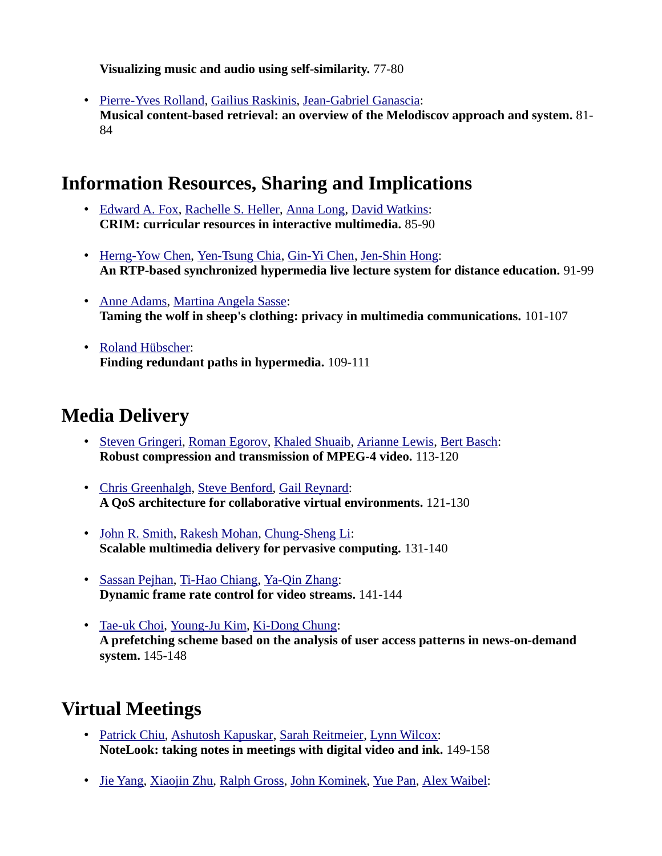**Visualizing music and audio using self-similarity.** 77-80

• [Pierre-Yves Rolland,](http://www.informatik.uni-trier.de/~ley/db/indices/a-tree/r/Rolland:Pierre=Yves.html) [Gailius Raskinis,](http://www.informatik.uni-trier.de/~ley/db/indices/a-tree/r/Raskinis:Gailius.html) [Jean-Gabriel Ganascia:](http://www.informatik.uni-trier.de/~ley/db/indices/a-tree/g/Ganascia:Jean=Gabriel.html) **Musical content-based retrieval: an overview of the Melodiscov approach and system.** 81- 84

#### **Information Resources, Sharing and Implications**

- • [Edward A. Fox,](http://www.informatik.uni-trier.de/~ley/db/indices/a-tree/f/Fox:Edward_A=.html) [Rachelle S. Heller,](http://www.informatik.uni-trier.de/~ley/db/indices/a-tree/h/Heller:Rachelle_S=.html) [Anna Long,](http://www.informatik.uni-trier.de/~ley/db/indices/a-tree/l/Long:Anna.html) [David Watkins:](http://www.informatik.uni-trier.de/~ley/db/indices/a-tree/w/Watkins:David.html) **CRIM: curricular resources in interactive multimedia.** 85-90
- • [Herng-Yow Chen,](http://www.informatik.uni-trier.de/~ley/db/indices/a-tree/c/Chen:Herng=Yow.html) [Yen-Tsung Chia,](http://www.informatik.uni-trier.de/~ley/db/indices/a-tree/c/Chia:Yen=Tsung.html) [Gin-Yi Chen,](http://www.informatik.uni-trier.de/~ley/db/indices/a-tree/c/Chen:Gin=Yi.html) [Jen-Shin Hong:](http://www.informatik.uni-trier.de/~ley/db/indices/a-tree/h/Hong:Jen=Shin.html) **An RTP-based synchronized hypermedia live lecture system for distance education.** 91-99
- • [Anne Adams,](http://www.informatik.uni-trier.de/~ley/db/indices/a-tree/a/Adams:Anne.html) [Martina Angela Sasse:](http://www.informatik.uni-trier.de/~ley/db/indices/a-tree/s/Sasse:Martina_Angela.html) **Taming the wolf in sheep's clothing: privacy in multimedia communications.** 101-107
- • [Roland Hübscher:](http://www.informatik.uni-trier.de/~ley/db/indices/a-tree/h/H=uuml=bscher:Roland.html) **Finding redundant paths in hypermedia.** 109-111

### **Media Delivery**

- • [Steven Gringeri,](http://www.informatik.uni-trier.de/~ley/db/indices/a-tree/g/Gringeri:Steven.html) [Roman Egorov,](http://www.informatik.uni-trier.de/~ley/db/indices/a-tree/e/Egorov:Roman.html) [Khaled Shuaib,](http://www.informatik.uni-trier.de/~ley/db/indices/a-tree/s/Shuaib:Khaled.html) [Arianne Lewis,](http://www.informatik.uni-trier.de/~ley/db/indices/a-tree/l/Lewis:Arianne.html) [Bert Basch:](http://www.informatik.uni-trier.de/~ley/db/indices/a-tree/b/Basch:Bert.html) **Robust compression and transmission of MPEG-4 video.** 113-120
- • [Chris Greenhalgh,](http://www.informatik.uni-trier.de/~ley/db/indices/a-tree/g/Greenhalgh:Chris.html) [Steve Benford,](http://www.informatik.uni-trier.de/~ley/db/indices/a-tree/b/Benford:Steve.html) [Gail Reynard:](http://www.informatik.uni-trier.de/~ley/db/indices/a-tree/r/Reynard:Gail.html) **A QoS architecture for collaborative virtual environments.** 121-130
- • [John R. Smith,](http://www.informatik.uni-trier.de/~ley/db/indices/a-tree/s/Smith:John_R=.html) [Rakesh Mohan,](http://www.informatik.uni-trier.de/~ley/db/indices/a-tree/m/Mohan:Rakesh.html) [Chung-Sheng Li:](http://www.informatik.uni-trier.de/~ley/db/indices/a-tree/l/Li:Chung=Sheng.html) **Scalable multimedia delivery for pervasive computing.** 131-140
- • [Sassan Pejhan,](http://www.informatik.uni-trier.de/~ley/db/indices/a-tree/p/Pejhan:Sassan.html) [Ti-Hao Chiang,](http://www.informatik.uni-trier.de/~ley/db/indices/a-tree/c/Chiang:Ti=Hao.html) [Ya-Qin Zhang:](http://www.informatik.uni-trier.de/~ley/db/indices/a-tree/z/Zhang:Ya=Qin.html) **Dynamic frame rate control for video streams.** 141-144
- • [Tae-uk Choi,](http://www.informatik.uni-trier.de/~ley/db/indices/a-tree/c/Choi:Tae=uk.html) [Young-Ju Kim,](http://www.informatik.uni-trier.de/~ley/db/indices/a-tree/k/Kim:Young=Ju.html) [Ki-Dong Chung:](http://www.informatik.uni-trier.de/~ley/db/indices/a-tree/c/Chung:Ki=Dong.html) **A prefetching scheme based on the analysis of user access patterns in news-on-demand system.** 145-148

# **Virtual Meetings**

- • [Patrick Chiu,](http://www.informatik.uni-trier.de/~ley/db/indices/a-tree/c/Chiu:Patrick.html) [Ashutosh Kapuskar,](http://www.informatik.uni-trier.de/~ley/db/indices/a-tree/k/Kapuskar:Ashutosh.html) [Sarah Reitmeier,](http://www.informatik.uni-trier.de/~ley/db/indices/a-tree/r/Reitmeier:Sarah.html) [Lynn Wilcox:](http://www.informatik.uni-trier.de/~ley/db/indices/a-tree/w/Wilcox:Lynn.html) **NoteLook: taking notes in meetings with digital video and ink.** 149-158
- • [Jie Yang,](http://www.informatik.uni-trier.de/~ley/db/indices/a-tree/y/Yang_0001:Jie.html) [Xiaojin Zhu,](http://www.informatik.uni-trier.de/~ley/db/indices/a-tree/z/Zhu:Xiaojin.html) [Ralph Gross,](http://www.informatik.uni-trier.de/~ley/db/indices/a-tree/g/Gross:Ralph.html) [John Kominek,](http://www.informatik.uni-trier.de/~ley/db/indices/a-tree/k/Kominek:John.html) [Yue Pan,](http://www.informatik.uni-trier.de/~ley/db/indices/a-tree/p/Pan:Yue.html) [Alex Waibel:](http://www.informatik.uni-trier.de/~ley/db/indices/a-tree/w/Waibel:Alex.html)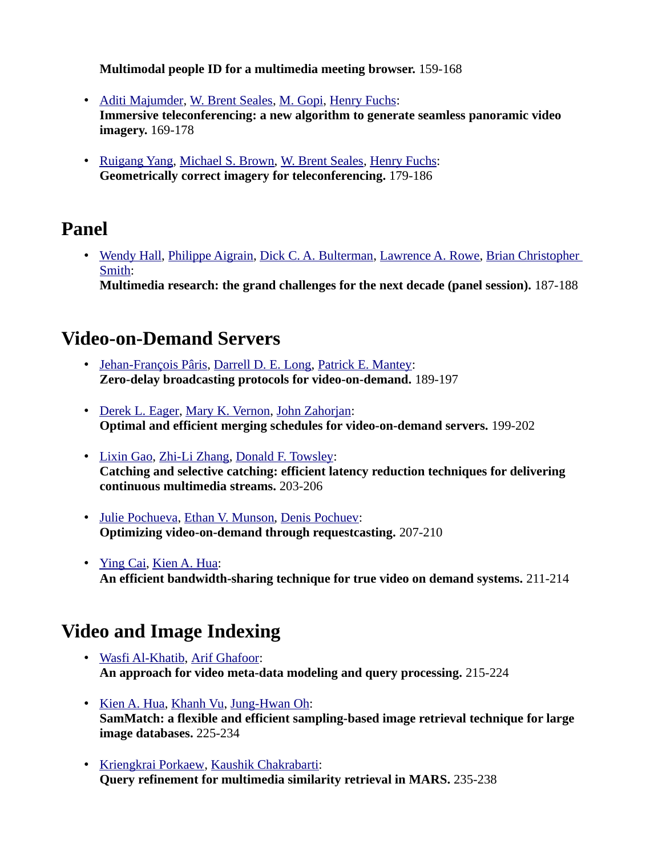**Multimodal people ID for a multimedia meeting browser.** 159-168

- • [Aditi Majumder,](http://www.informatik.uni-trier.de/~ley/db/indices/a-tree/m/Majumder:Aditi.html) [W. Brent Seales,](http://www.informatik.uni-trier.de/~ley/db/indices/a-tree/s/Seales:W=_Brent.html) [M. Gopi,](http://www.informatik.uni-trier.de/~ley/db/indices/a-tree/g/Gopi:M=.html) [Henry Fuchs:](http://www.informatik.uni-trier.de/~ley/db/indices/a-tree/f/Fuchs:Henry.html) **Immersive teleconferencing: a new algorithm to generate seamless panoramic video imagery.** 169-178
- • [Ruigang Yang,](http://www.informatik.uni-trier.de/~ley/db/indices/a-tree/y/Yang:Ruigang.html) [Michael S. Brown,](http://www.informatik.uni-trier.de/~ley/db/indices/a-tree/b/Brown:Michael_S=.html) [W. Brent Seales,](http://www.informatik.uni-trier.de/~ley/db/indices/a-tree/s/Seales:W=_Brent.html) [Henry Fuchs:](http://www.informatik.uni-trier.de/~ley/db/indices/a-tree/f/Fuchs:Henry.html) **Geometrically correct imagery for teleconferencing.** 179-186

#### **Panel**

• [Wendy Hall,](http://www.informatik.uni-trier.de/~ley/db/indices/a-tree/h/Hall:Wendy.html) [Philippe Aigrain,](http://www.informatik.uni-trier.de/~ley/db/indices/a-tree/a/Aigrain:Philippe.html) [Dick C. A. Bulterman,](http://www.informatik.uni-trier.de/~ley/db/indices/a-tree/b/Bulterman:Dick_C=_A=.html) [Lawrence A. Rowe,](http://www.informatik.uni-trier.de/~ley/db/indices/a-tree/r/Rowe:Lawrence_A=.html) [Brian Christopher](http://www.informatik.uni-trier.de/~ley/db/indices/a-tree/s/Smith:Brian_Christopher.html)  [Smith:](http://www.informatik.uni-trier.de/~ley/db/indices/a-tree/s/Smith:Brian_Christopher.html)

**Multimedia research: the grand challenges for the next decade (panel session).** 187-188

#### **Video-on-Demand Servers**

- • [Jehan-François Pâris,](http://www.informatik.uni-trier.de/~ley/db/indices/a-tree/p/P=acirc=ris:Jehan=Fran=ccedil=ois.html) [Darrell D. E. Long,](http://www.informatik.uni-trier.de/~ley/db/indices/a-tree/l/Long:Darrell_D=_E=.html) [Patrick E. Mantey:](http://www.informatik.uni-trier.de/~ley/db/indices/a-tree/m/Mantey:Patrick_E=.html) **Zero-delay broadcasting protocols for video-on-demand.** 189-197
- • [Derek L. Eager,](http://www.informatik.uni-trier.de/~ley/db/indices/a-tree/e/Eager:Derek_L=.html) [Mary K. Vernon,](http://www.informatik.uni-trier.de/~ley/db/indices/a-tree/v/Vernon:Mary_K=.html) [John Zahorjan:](http://www.informatik.uni-trier.de/~ley/db/indices/a-tree/z/Zahorjan:John.html) **Optimal and efficient merging schedules for video-on-demand servers.** 199-202
- • [Lixin Gao,](http://www.informatik.uni-trier.de/~ley/db/indices/a-tree/g/Gao:Lixin.html) [Zhi-Li Zhang,](http://www.informatik.uni-trier.de/~ley/db/indices/a-tree/z/Zhang:Zhi=Li.html) [Donald F. Towsley:](http://www.informatik.uni-trier.de/~ley/db/indices/a-tree/t/Towsley:Donald_F=.html) **Catching and selective catching: efficient latency reduction techniques for delivering continuous multimedia streams.** 203-206
- • [Julie Pochueva,](http://www.informatik.uni-trier.de/~ley/db/indices/a-tree/p/Pochueva:Julie.html) [Ethan V. Munson,](http://www.informatik.uni-trier.de/~ley/db/indices/a-tree/m/Munson:Ethan_V=.html) [Denis Pochuev:](http://www.informatik.uni-trier.de/~ley/db/indices/a-tree/p/Pochuev:Denis.html) **Optimizing video-on-demand through requestcasting.** 207-210
- • [Ying Cai,](http://www.informatik.uni-trier.de/~ley/db/indices/a-tree/c/Cai:Ying.html) [Kien A. Hua:](http://www.informatik.uni-trier.de/~ley/db/indices/a-tree/h/Hua:Kien_A=.html) **An efficient bandwidth-sharing technique for true video on demand systems.** 211-214

# **Video and Image Indexing**

- • [Wasfi Al-Khatib,](http://www.informatik.uni-trier.de/~ley/db/indices/a-tree/a/Al=Khatib:Wasfi.html) [Arif Ghafoor:](http://www.informatik.uni-trier.de/~ley/db/indices/a-tree/g/Ghafoor:Arif.html) **An approach for video meta-data modeling and query processing.** 215-224
- • [Kien A. Hua,](http://www.informatik.uni-trier.de/~ley/db/indices/a-tree/h/Hua:Kien_A=.html) [Khanh Vu,](http://www.informatik.uni-trier.de/~ley/db/indices/a-tree/v/Vu:Khanh.html) [Jung-Hwan Oh:](http://www.informatik.uni-trier.de/~ley/db/indices/a-tree/o/Oh:Jung=Hwan.html) **SamMatch: a flexible and efficient sampling-based image retrieval technique for large image databases.** 225-234
- • [Kriengkrai Porkaew,](http://www.informatik.uni-trier.de/~ley/db/indices/a-tree/p/Porkaew:Kriengkrai.html) [Kaushik Chakrabarti:](http://www.informatik.uni-trier.de/~ley/db/indices/a-tree/c/Chakrabarti:Kaushik.html) **Query refinement for multimedia similarity retrieval in MARS.** 235-238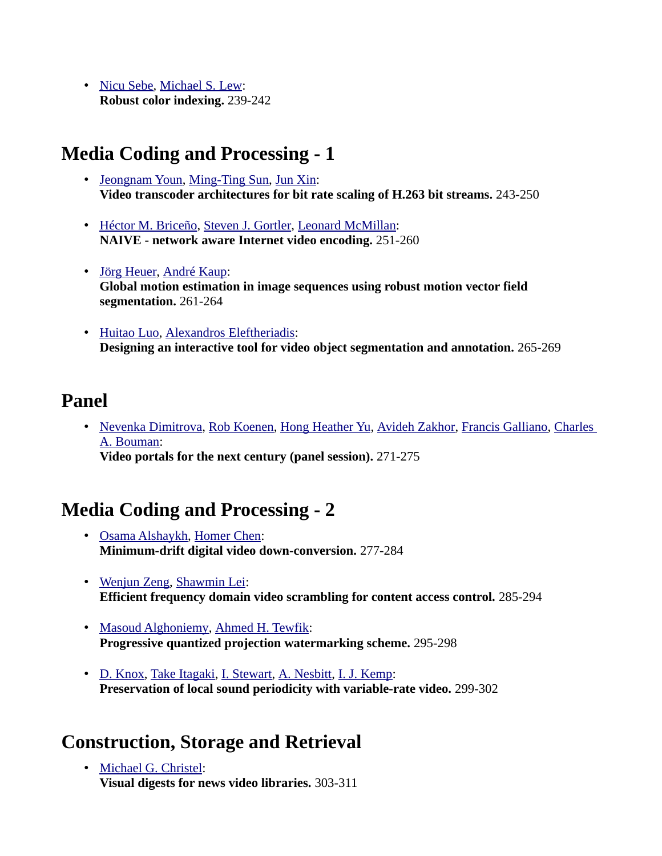• [Nicu Sebe,](http://www.informatik.uni-trier.de/~ley/db/indices/a-tree/s/Sebe:Nicu.html) [Michael S. Lew:](http://www.informatik.uni-trier.de/~ley/db/indices/a-tree/l/Lew:Michael_S=.html) **Robust color indexing.** 239-242

## **Media Coding and Processing - 1**

- • [Jeongnam Youn,](http://www.informatik.uni-trier.de/~ley/db/indices/a-tree/y/Youn:Jeongnam.html) [Ming-Ting Sun,](http://www.informatik.uni-trier.de/~ley/db/indices/a-tree/s/Sun:Ming=Ting.html) [Jun Xin:](http://www.informatik.uni-trier.de/~ley/db/indices/a-tree/x/Xin:Jun.html) **Video transcoder architectures for bit rate scaling of H.263 bit streams.** 243-250
- • [Héctor M. Briceño,](http://www.informatik.uni-trier.de/~ley/db/indices/a-tree/b/Brice=ntilde=o:H=eacute=ctor_M=.html) [Steven J. Gortler,](http://www.informatik.uni-trier.de/~ley/db/indices/a-tree/g/Gortler:Steven_J=.html) [Leonard McMillan:](http://www.informatik.uni-trier.de/~ley/db/indices/a-tree/m/McMillan:Leonard.html) **NAIVE - network aware Internet video encoding.** 251-260
- • [Jörg Heuer,](http://www.informatik.uni-trier.de/~ley/db/indices/a-tree/h/Heuer:J=ouml=rg.html) [André Kaup:](http://www.informatik.uni-trier.de/~ley/db/indices/a-tree/k/Kaup:Andr=eacute=.html) **Global motion estimation in image sequences using robust motion vector field segmentation.** 261-264
- • [Huitao Luo,](http://www.informatik.uni-trier.de/~ley/db/indices/a-tree/l/Luo:Huitao.html) [Alexandros Eleftheriadis:](http://www.informatik.uni-trier.de/~ley/db/indices/a-tree/e/Eleftheriadis:Alexandros.html) **Designing an interactive tool for video object segmentation and annotation.** 265-269

#### **Panel**

• [Nevenka Dimitrova,](http://www.informatik.uni-trier.de/~ley/db/indices/a-tree/d/Dimitrova:Nevenka.html) [Rob Koenen,](http://www.informatik.uni-trier.de/~ley/db/indices/a-tree/k/Koenen:Rob.html) [Hong Heather Yu,](http://www.informatik.uni-trier.de/~ley/db/indices/a-tree/y/Yu:Hong_Heather.html) [Avideh Zakhor,](http://www.informatik.uni-trier.de/~ley/db/indices/a-tree/z/Zakhor:Avideh.html) [Francis Galliano,](http://www.informatik.uni-trier.de/~ley/db/indices/a-tree/g/Galliano:Francis.html) Charles [A. Bouman:](http://www.informatik.uni-trier.de/~ley/db/indices/a-tree/b/Bouman:Charles_A=.html) **Video portals for the next century (panel session).** 271-275

### **Media Coding and Processing - 2**

- • [Osama Alshaykh,](http://www.informatik.uni-trier.de/~ley/db/indices/a-tree/a/Alshaykh:Osama.html) [Homer Chen:](http://www.informatik.uni-trier.de/~ley/db/indices/a-tree/c/Chen:Homer.html) **Minimum-drift digital video down-conversion.** 277-284
- • [Wenjun Zeng,](http://www.informatik.uni-trier.de/~ley/db/indices/a-tree/z/Zeng:Wenjun.html) [Shawmin Lei:](http://www.informatik.uni-trier.de/~ley/db/indices/a-tree/l/Lei:Shawmin.html) **Efficient frequency domain video scrambling for content access control.** 285-294
- • [Masoud Alghoniemy,](http://www.informatik.uni-trier.de/~ley/db/indices/a-tree/a/Alghoniemy:Masoud.html) [Ahmed H. Tewfik:](http://www.informatik.uni-trier.de/~ley/db/indices/a-tree/t/Tewfik:Ahmed_H=.html) **Progressive quantized projection watermarking scheme.** 295-298
- • [D. Knox,](http://www.informatik.uni-trier.de/~ley/db/indices/a-tree/k/Knox:D=.html) [Take Itagaki,](http://www.informatik.uni-trier.de/~ley/db/indices/a-tree/i/Itagaki:Take.html) [I. Stewart,](http://www.informatik.uni-trier.de/~ley/db/indices/a-tree/s/Stewart:I=.html) [A. Nesbitt,](http://www.informatik.uni-trier.de/~ley/db/indices/a-tree/n/Nesbitt:A=.html) [I. J. Kemp:](http://www.informatik.uni-trier.de/~ley/db/indices/a-tree/k/Kemp:I=_J=.html) **Preservation of local sound periodicity with variable-rate video.** 299-302

### **Construction, Storage and Retrieval**

• [Michael G. Christel:](http://www.informatik.uni-trier.de/~ley/db/indices/a-tree/c/Christel:Michael_G=.html) **Visual digests for news video libraries.** 303-311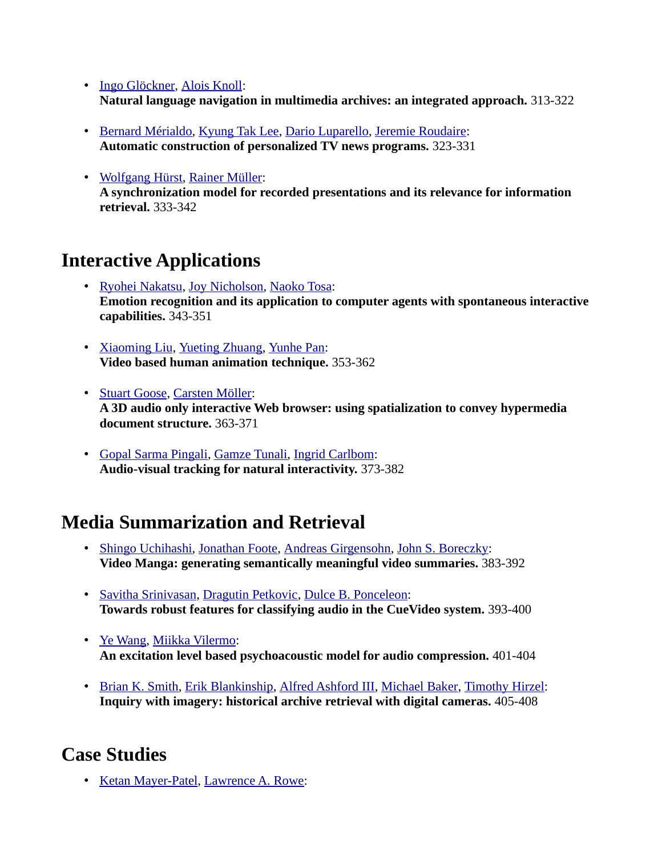- • [Ingo Glöckner,](http://www.informatik.uni-trier.de/~ley/db/indices/a-tree/g/Gl=ouml=ckner:Ingo.html) [Alois Knoll:](http://www.informatik.uni-trier.de/~ley/db/indices/a-tree/k/Knoll:Alois.html) **Natural language navigation in multimedia archives: an integrated approach.** 313-322
- • [Bernard Mérialdo,](http://www.informatik.uni-trier.de/~ley/db/indices/a-tree/m/M=eacute=rialdo:Bernard.html) [Kyung Tak Lee,](http://www.informatik.uni-trier.de/~ley/db/indices/a-tree/l/Lee:Kyung_Tak.html) [Dario Luparello,](http://www.informatik.uni-trier.de/~ley/db/indices/a-tree/l/Luparello:Dario.html) [Jeremie Roudaire:](http://www.informatik.uni-trier.de/~ley/db/indices/a-tree/r/Roudaire:Jeremie.html) **Automatic construction of personalized TV news programs.** 323-331
- • [Wolfgang Hürst,](http://www.informatik.uni-trier.de/~ley/db/indices/a-tree/h/H=uuml=rst:Wolfgang.html) [Rainer Müller:](http://www.informatik.uni-trier.de/~ley/db/indices/a-tree/m/M=uuml=ller:Rainer.html) **A synchronization model for recorded presentations and its relevance for information retrieval.** 333-342

## **Interactive Applications**

- • [Ryohei Nakatsu,](http://www.informatik.uni-trier.de/~ley/db/indices/a-tree/n/Nakatsu:Ryohei.html) [Joy Nicholson,](http://www.informatik.uni-trier.de/~ley/db/indices/a-tree/n/Nicholson:Joy.html) [Naoko Tosa:](http://www.informatik.uni-trier.de/~ley/db/indices/a-tree/t/Tosa:Naoko.html) **Emotion recognition and its application to computer agents with spontaneous interactive capabilities.** 343-351
- • [Xiaoming Liu,](http://www.informatik.uni-trier.de/~ley/db/indices/a-tree/l/Liu_0002:Xiaoming.html) [Yueting Zhuang,](http://www.informatik.uni-trier.de/~ley/db/indices/a-tree/z/Zhuang:Yueting.html) [Yunhe Pan:](http://www.informatik.uni-trier.de/~ley/db/indices/a-tree/p/Pan:Yunhe.html) **Video based human animation technique.** 353-362
- • [Stuart Goose,](http://www.informatik.uni-trier.de/~ley/db/indices/a-tree/g/Goose:Stuart.html) [Carsten Möller:](http://www.informatik.uni-trier.de/~ley/db/indices/a-tree/m/M=ouml=ller:Carsten.html) **A 3D audio only interactive Web browser: using spatialization to convey hypermedia document structure.** 363-371
- • [Gopal Sarma Pingali,](http://www.informatik.uni-trier.de/~ley/db/indices/a-tree/p/Pingali:Gopal_Sarma.html) [Gamze Tunali,](http://www.informatik.uni-trier.de/~ley/db/indices/a-tree/t/Tunali:Gamze.html) [Ingrid Carlbom:](http://www.informatik.uni-trier.de/~ley/db/indices/a-tree/c/Carlbom:Ingrid.html) **Audio-visual tracking for natural interactivity.** 373-382

### **Media Summarization and Retrieval**

- • [Shingo Uchihashi,](http://www.informatik.uni-trier.de/~ley/db/indices/a-tree/u/Uchihashi:Shingo.html) [Jonathan Foote,](http://www.informatik.uni-trier.de/~ley/db/indices/a-tree/f/Foote:Jonathan.html) [Andreas Girgensohn,](http://www.informatik.uni-trier.de/~ley/db/indices/a-tree/g/Girgensohn:Andreas.html) [John S. Boreczky:](http://www.informatik.uni-trier.de/~ley/db/indices/a-tree/b/Boreczky:John_S=.html) **Video Manga: generating semantically meaningful video summaries.** 383-392
- • [Savitha Srinivasan,](http://www.informatik.uni-trier.de/~ley/db/indices/a-tree/s/Srinivasan:Savitha.html) [Dragutin Petkovic,](http://www.informatik.uni-trier.de/~ley/db/indices/a-tree/p/Petkovic:Dragutin.html) [Dulce B. Ponceleon:](http://www.informatik.uni-trier.de/~ley/db/indices/a-tree/p/Ponceleon:Dulce_B=.html) **Towards robust features for classifying audio in the CueVideo system.** 393-400
- • [Ye Wang,](http://www.informatik.uni-trier.de/~ley/db/indices/a-tree/w/Wang:Ye.html) [Miikka Vilermo:](http://www.informatik.uni-trier.de/~ley/db/indices/a-tree/v/Vilermo:Miikka.html) **An excitation level based psychoacoustic model for audio compression.** 401-404
- • [Brian K. Smith,](http://www.informatik.uni-trier.de/~ley/db/indices/a-tree/s/Smith:Brian_K=.html) [Erik Blankinship,](http://www.informatik.uni-trier.de/~ley/db/indices/a-tree/b/Blankinship:Erik.html) [Alfred Ashford III,](http://www.informatik.uni-trier.de/~ley/db/indices/a-tree/a/Ashford_III:Alfred.html) [Michael Baker,](http://www.informatik.uni-trier.de/~ley/db/indices/a-tree/b/Baker:Michael.html) [Timothy Hirzel:](http://www.informatik.uni-trier.de/~ley/db/indices/a-tree/h/Hirzel:Timothy.html) **Inquiry with imagery: historical archive retrieval with digital cameras.** 405-408

### **Case Studies**

• [Ketan Mayer-Patel,](http://www.informatik.uni-trier.de/~ley/db/indices/a-tree/m/Mayer=Patel:Ketan.html) [Lawrence A. Rowe:](http://www.informatik.uni-trier.de/~ley/db/indices/a-tree/r/Rowe:Lawrence_A=.html)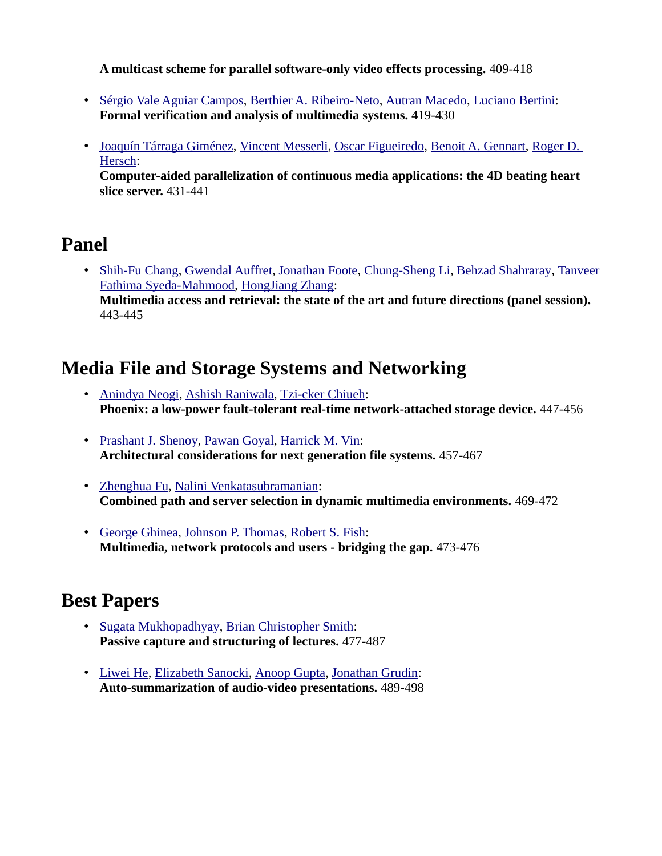**A multicast scheme for parallel software-only video effects processing.** 409-418

- • [Sérgio Vale Aguiar Campos,](http://www.informatik.uni-trier.de/~ley/db/indices/a-tree/c/Campos:S=eacute=rgio_Vale_Aguiar.html) [Berthier A. Ribeiro-Neto,](http://www.informatik.uni-trier.de/~ley/db/indices/a-tree/r/Ribeiro=Neto:Berthier_A=.html) [Autran Macedo,](http://www.informatik.uni-trier.de/~ley/db/indices/a-tree/m/Macedo:Autran.html) [Luciano Bertini:](http://www.informatik.uni-trier.de/~ley/db/indices/a-tree/b/Bertini:Luciano.html) **Formal verification and analysis of multimedia systems.** 419-430
- • [Joaquín Tárraga Giménez,](http://www.informatik.uni-trier.de/~ley/db/indices/a-tree/g/Gim=eacute=nez:Joaqu=iacute=n_T=aacute=rraga.html) [Vincent Messerli,](http://www.informatik.uni-trier.de/~ley/db/indices/a-tree/m/Messerli:Vincent.html) [Oscar Figueiredo,](http://www.informatik.uni-trier.de/~ley/db/indices/a-tree/f/Figueiredo:Oscar.html) [Benoit A. Gennart,](http://www.informatik.uni-trier.de/~ley/db/indices/a-tree/g/Gennart:Benoit_A=.html) [Roger D.](http://www.informatik.uni-trier.de/~ley/db/indices/a-tree/h/Hersch:Roger_D=.html)  [Hersch:](http://www.informatik.uni-trier.de/~ley/db/indices/a-tree/h/Hersch:Roger_D=.html)

**Computer-aided parallelization of continuous media applications: the 4D beating heart slice server.** 431-441

# **Panel**

• [Shih-Fu Chang,](http://www.informatik.uni-trier.de/~ley/db/indices/a-tree/c/Chang:Shih=Fu.html) [Gwendal Auffret,](http://www.informatik.uni-trier.de/~ley/db/indices/a-tree/a/Auffret:Gwendal.html) [Jonathan Foote,](http://www.informatik.uni-trier.de/~ley/db/indices/a-tree/f/Foote:Jonathan.html) [Chung-Sheng Li,](http://www.informatik.uni-trier.de/~ley/db/indices/a-tree/l/Li:Chung=Sheng.html) [Behzad Shahraray,](http://www.informatik.uni-trier.de/~ley/db/indices/a-tree/s/Shahraray:Behzad.html) [Tanveer](http://www.informatik.uni-trier.de/~ley/db/indices/a-tree/s/Syeda=Mahmood:Tanveer_Fathima.html) [Fathima Syeda-Mahmood,](http://www.informatik.uni-trier.de/~ley/db/indices/a-tree/s/Syeda=Mahmood:Tanveer_Fathima.html) [HongJiang Zhang:](http://www.informatik.uni-trier.de/~ley/db/indices/a-tree/z/Zhang:HongJiang.html) **Multimedia access and retrieval: the state of the art and future directions (panel session).**  443-445

## **Media File and Storage Systems and Networking**

- • [Anindya Neogi,](http://www.informatik.uni-trier.de/~ley/db/indices/a-tree/n/Neogi:Anindya.html) [Ashish Raniwala,](http://www.informatik.uni-trier.de/~ley/db/indices/a-tree/r/Raniwala:Ashish.html) [Tzi-cker Chiueh:](http://www.informatik.uni-trier.de/~ley/db/indices/a-tree/c/Chiueh:Tzi=cker.html) **Phoenix: a low-power fault-tolerant real-time network-attached storage device.** 447-456
- • [Prashant J. Shenoy,](http://www.informatik.uni-trier.de/~ley/db/indices/a-tree/s/Shenoy:Prashant_J=.html) [Pawan Goyal,](http://www.informatik.uni-trier.de/~ley/db/indices/a-tree/g/Goyal:Pawan.html) [Harrick M. Vin:](http://www.informatik.uni-trier.de/~ley/db/indices/a-tree/v/Vin:Harrick_M=.html) **Architectural considerations for next generation file systems.** 457-467
- • [Zhenghua Fu,](http://www.informatik.uni-trier.de/~ley/db/indices/a-tree/f/Fu:Zhenghua.html) [Nalini Venkatasubramanian:](http://www.informatik.uni-trier.de/~ley/db/indices/a-tree/v/Venkatasubramanian:Nalini.html) **Combined path and server selection in dynamic multimedia environments.** 469-472
- • [George Ghinea,](http://www.informatik.uni-trier.de/~ley/db/indices/a-tree/g/Ghinea:George.html) [Johnson P. Thomas,](http://www.informatik.uni-trier.de/~ley/db/indices/a-tree/t/Thomas:Johnson_P=.html) [Robert S. Fish:](http://www.informatik.uni-trier.de/~ley/db/indices/a-tree/f/Fish:Robert_S=.html) **Multimedia, network protocols and users - bridging the gap.** 473-476

# **Best Papers**

- • [Sugata Mukhopadhyay,](http://www.informatik.uni-trier.de/~ley/db/indices/a-tree/m/Mukhopadhyay:Sugata.html) [Brian Christopher Smith:](http://www.informatik.uni-trier.de/~ley/db/indices/a-tree/s/Smith:Brian_Christopher.html) **Passive capture and structuring of lectures.** 477-487
- • [Liwei He,](http://www.informatik.uni-trier.de/~ley/db/indices/a-tree/h/He:Liwei.html) [Elizabeth Sanocki,](http://www.informatik.uni-trier.de/~ley/db/indices/a-tree/s/Sanocki:Elizabeth.html) [Anoop Gupta,](http://www.informatik.uni-trier.de/~ley/db/indices/a-tree/g/Gupta:Anoop.html) [Jonathan Grudin:](http://www.informatik.uni-trier.de/~ley/db/indices/a-tree/g/Grudin:Jonathan.html) **Auto-summarization of audio-video presentations.** 489-498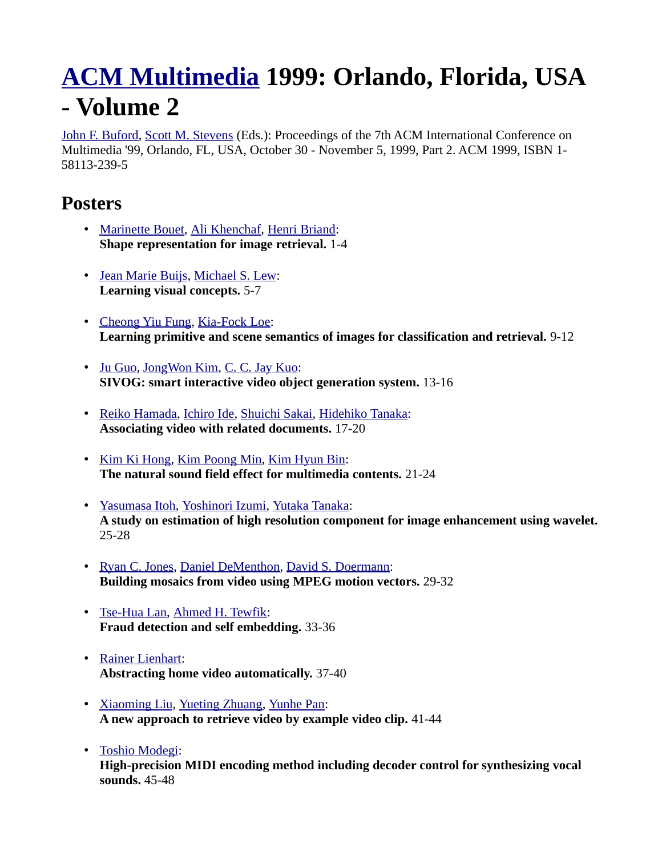# **[ACM Multimedia](http://www.informatik.uni-trier.de/~ley/db/conf/mm/index.html) 1999: Orlando, Florida, USA - Volume 2**

[John F. Buford,](http://www.informatik.uni-trier.de/~ley/db/indices/a-tree/b/Buford:John_F=.html) [Scott M. Stevens](http://www.informatik.uni-trier.de/~ley/db/indices/a-tree/s/Stevens:Scott_M=.html) (Eds.): Proceedings of the 7th ACM International Conference on Multimedia '99, Orlando, FL, USA, October 30 - November 5, 1999, Part 2. ACM 1999, ISBN 1- 58113-239-5

#### **Posters**

- • [Marinette Bouet,](http://www.informatik.uni-trier.de/~ley/db/indices/a-tree/b/Bouet:Marinette.html) [Ali Khenchaf,](http://www.informatik.uni-trier.de/~ley/db/indices/a-tree/k/Khenchaf:Ali.html) [Henri Briand:](http://www.informatik.uni-trier.de/~ley/db/indices/a-tree/b/Briand:Henri.html) **Shape representation for image retrieval.** 1-4
- • [Jean Marie Buijs,](http://www.informatik.uni-trier.de/~ley/db/indices/a-tree/b/Buijs:Jean_Marie.html) [Michael S. Lew:](http://www.informatik.uni-trier.de/~ley/db/indices/a-tree/l/Lew:Michael_S=.html) **Learning visual concepts.** 5-7
- • [Cheong Yiu Fung,](http://www.informatik.uni-trier.de/~ley/db/indices/a-tree/f/Fung:Cheong_Yiu.html) [Kia-Fock Loe:](http://www.informatik.uni-trier.de/~ley/db/indices/a-tree/l/Loe:Kia=Fock.html) **Learning primitive and scene semantics of images for classification and retrieval.** 9-12
- • [Ju Guo,](http://www.informatik.uni-trier.de/~ley/db/indices/a-tree/g/Guo:Ju.html) [JongWon Kim,](http://www.informatik.uni-trier.de/~ley/db/indices/a-tree/k/Kim_0001:JongWon.html) [C. C. Jay Kuo:](http://www.informatik.uni-trier.de/~ley/db/indices/a-tree/k/Kuo:C=_C=_Jay.html) **SIVOG: smart interactive video object generation system.** 13-16
- • [Reiko Hamada,](http://www.informatik.uni-trier.de/~ley/db/indices/a-tree/h/Hamada:Reiko.html) [Ichiro Ide,](http://www.informatik.uni-trier.de/~ley/db/indices/a-tree/i/Ide:Ichiro.html) [Shuichi Sakai,](http://www.informatik.uni-trier.de/~ley/db/indices/a-tree/s/Sakai:Shuichi.html) [Hidehiko Tanaka:](http://www.informatik.uni-trier.de/~ley/db/indices/a-tree/t/Tanaka:Hidehiko.html) **Associating video with related documents.** 17-20
- • [Kim Ki Hong,](http://www.informatik.uni-trier.de/~ley/db/indices/a-tree/h/Hong:Kim_Ki.html) [Kim Poong Min,](http://www.informatik.uni-trier.de/~ley/db/indices/a-tree/m/Min:Kim_Poong.html) [Kim Hyun Bin:](http://www.informatik.uni-trier.de/~ley/db/indices/a-tree/b/Bin:Kim_Hyun.html) **The natural sound field effect for multimedia contents.** 21-24
- • [Yasumasa Itoh,](http://www.informatik.uni-trier.de/~ley/db/indices/a-tree/i/Itoh:Yasumasa.html) [Yoshinori Izumi,](http://www.informatik.uni-trier.de/~ley/db/indices/a-tree/i/Izumi:Yoshinori.html) [Yutaka Tanaka:](http://www.informatik.uni-trier.de/~ley/db/indices/a-tree/t/Tanaka:Yutaka.html) **A study on estimation of high resolution component for image enhancement using wavelet.** 25-28
- • [Ryan C. Jones,](http://www.informatik.uni-trier.de/~ley/db/indices/a-tree/j/Jones:Ryan_C=.html) [Daniel DeMenthon,](http://www.informatik.uni-trier.de/~ley/db/indices/a-tree/d/DeMenthon:Daniel.html) [David S. Doermann:](http://www.informatik.uni-trier.de/~ley/db/indices/a-tree/d/Doermann:David_S=.html) **Building mosaics from video using MPEG motion vectors.** 29-32
- • [Tse-Hua Lan,](http://www.informatik.uni-trier.de/~ley/db/indices/a-tree/l/Lan:Tse=Hua.html) [Ahmed H. Tewfik:](http://www.informatik.uni-trier.de/~ley/db/indices/a-tree/t/Tewfik:Ahmed_H=.html) **Fraud detection and self embedding.** 33-36
- • [Rainer Lienhart:](http://www.informatik.uni-trier.de/~ley/db/indices/a-tree/l/Lienhart:Rainer.html) **Abstracting home video automatically.** 37-40
- • [Xiaoming Liu,](http://www.informatik.uni-trier.de/~ley/db/indices/a-tree/l/Liu_0002:Xiaoming.html) [Yueting Zhuang,](http://www.informatik.uni-trier.de/~ley/db/indices/a-tree/z/Zhuang:Yueting.html) [Yunhe Pan:](http://www.informatik.uni-trier.de/~ley/db/indices/a-tree/p/Pan:Yunhe.html) **A new approach to retrieve video by example video clip.** 41-44
- • [Toshio Modegi:](http://www.informatik.uni-trier.de/~ley/db/indices/a-tree/m/Modegi:Toshio.html)

**High-precision MIDI encoding method including decoder control for synthesizing vocal sounds.** 45-48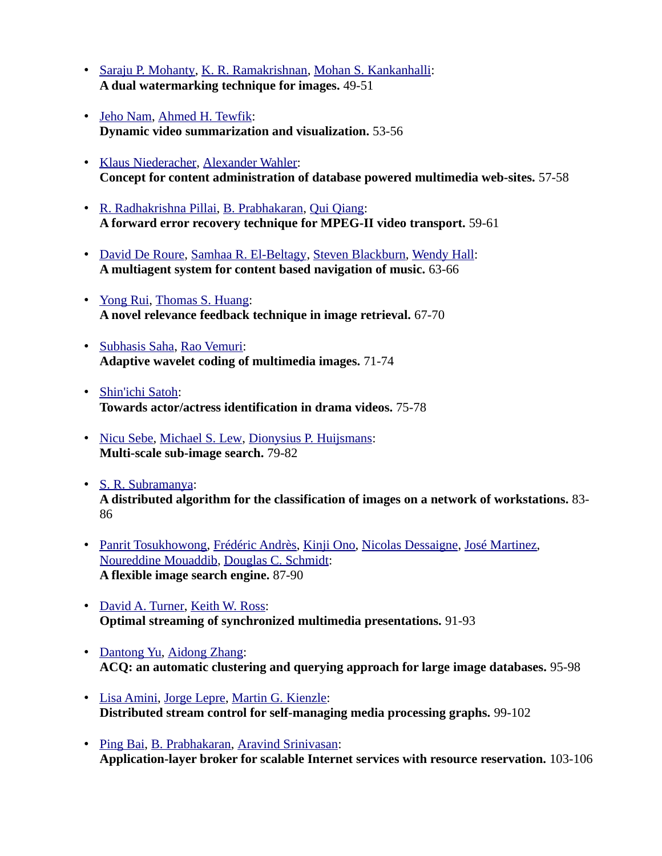- • [Saraju P. Mohanty,](http://www.informatik.uni-trier.de/~ley/db/indices/a-tree/m/Mohanty:Saraju_P=.html) [K. R. Ramakrishnan,](http://www.informatik.uni-trier.de/~ley/db/indices/a-tree/r/Ramakrishnan:K=_R=.html) [Mohan S. Kankanhalli:](http://www.informatik.uni-trier.de/~ley/db/indices/a-tree/k/Kankanhalli:Mohan_S=.html) **A dual watermarking technique for images.** 49-51
- • [Jeho Nam,](http://www.informatik.uni-trier.de/~ley/db/indices/a-tree/n/Nam:Jeho.html) [Ahmed H. Tewfik:](http://www.informatik.uni-trier.de/~ley/db/indices/a-tree/t/Tewfik:Ahmed_H=.html) **Dynamic video summarization and visualization.** 53-56
- • [Klaus Niederacher,](http://www.informatik.uni-trier.de/~ley/db/indices/a-tree/n/Niederacher:Klaus.html) [Alexander Wahler:](http://www.informatik.uni-trier.de/~ley/db/indices/a-tree/w/Wahler:Alexander.html) **Concept for content administration of database powered multimedia web-sites.** 57-58
- • [R. Radhakrishna Pillai,](http://www.informatik.uni-trier.de/~ley/db/indices/a-tree/p/Pillai:R=_Radhakrishna.html) [B. Prabhakaran,](http://www.informatik.uni-trier.de/~ley/db/indices/a-tree/p/Prabhakaran:B=.html) [Qui Qiang:](http://www.informatik.uni-trier.de/~ley/db/indices/a-tree/q/Qiang:Qui.html) **A forward error recovery technique for MPEG-II video transport.** 59-61
- • [David De Roure,](http://www.informatik.uni-trier.de/~ley/db/indices/a-tree/r/Roure:David_De.html) [Samhaa R. El-Beltagy,](http://www.informatik.uni-trier.de/~ley/db/indices/a-tree/e/El=Beltagy:Samhaa_R=.html) [Steven Blackburn,](http://www.informatik.uni-trier.de/~ley/db/indices/a-tree/b/Blackburn:Steven.html) [Wendy Hall:](http://www.informatik.uni-trier.de/~ley/db/indices/a-tree/h/Hall:Wendy.html) **A multiagent system for content based navigation of music.** 63-66
- • [Yong Rui,](http://www.informatik.uni-trier.de/~ley/db/indices/a-tree/r/Rui:Yong.html) [Thomas S. Huang:](http://www.informatik.uni-trier.de/~ley/db/indices/a-tree/h/Huang:Thomas_S=.html) **A novel relevance feedback technique in image retrieval.** 67-70
- • [Subhasis Saha,](http://www.informatik.uni-trier.de/~ley/db/indices/a-tree/s/Saha:Subhasis.html) [Rao Vemuri:](http://www.informatik.uni-trier.de/~ley/db/indices/a-tree/v/Vemuri:Rao.html) **Adaptive wavelet coding of multimedia images.** 71-74
- • [Shin'ichi Satoh:](http://www.informatik.uni-trier.de/~ley/db/indices/a-tree/s/Satoh:Shin=ichi.html) **Towards actor/actress identification in drama videos.** 75-78
- • [Nicu Sebe,](http://www.informatik.uni-trier.de/~ley/db/indices/a-tree/s/Sebe:Nicu.html) [Michael S. Lew,](http://www.informatik.uni-trier.de/~ley/db/indices/a-tree/l/Lew:Michael_S=.html) [Dionysius P. Huijsmans:](http://www.informatik.uni-trier.de/~ley/db/indices/a-tree/h/Huijsmans:Dionysius_P=.html) **Multi-scale sub-image search.** 79-82
- • [S. R. Subramanya:](http://www.informatik.uni-trier.de/~ley/db/indices/a-tree/s/Subramanya:S=_R=.html) **A distributed algorithm for the classification of images on a network of workstations.** 83- 86
- • [Panrit Tosukhowong,](http://www.informatik.uni-trier.de/~ley/db/indices/a-tree/t/Tosukhowong:Panrit.html) [Frédéric Andrès,](http://www.informatik.uni-trier.de/~ley/db/indices/a-tree/a/Andr=egrave=s:Fr=eacute=d=eacute=ric.html) [Kinji Ono,](http://www.informatik.uni-trier.de/~ley/db/indices/a-tree/o/Ono:Kinji.html) [Nicolas Dessaigne,](http://www.informatik.uni-trier.de/~ley/db/indices/a-tree/d/Dessaigne:Nicolas.html) [José Martinez,](http://www.informatik.uni-trier.de/~ley/db/indices/a-tree/m/Martinez:Jos=eacute=.html) [Noureddine Mouaddib,](http://www.informatik.uni-trier.de/~ley/db/indices/a-tree/m/Mouaddib:Noureddine.html) [Douglas C. Schmidt:](http://www.informatik.uni-trier.de/~ley/db/indices/a-tree/s/Schmidt:Douglas_C=.html) **A flexible image search engine.** 87-90
- • [David A. Turner,](http://www.informatik.uni-trier.de/~ley/db/indices/a-tree/t/Turner:David_A=.html) [Keith W. Ross:](http://www.informatik.uni-trier.de/~ley/db/indices/a-tree/r/Ross:Keith_W=.html) **Optimal streaming of synchronized multimedia presentations.** 91-93
- • [Dantong Yu,](http://www.informatik.uni-trier.de/~ley/db/indices/a-tree/y/Yu:Dantong.html) [Aidong Zhang:](http://www.informatik.uni-trier.de/~ley/db/indices/a-tree/z/Zhang:Aidong.html) **ACQ: an automatic clustering and querying approach for large image databases.** 95-98
- • [Lisa Amini,](http://www.informatik.uni-trier.de/~ley/db/indices/a-tree/a/Amini:Lisa.html) [Jorge Lepre,](http://www.informatik.uni-trier.de/~ley/db/indices/a-tree/l/Lepre:Jorge.html) [Martin G. Kienzle:](http://www.informatik.uni-trier.de/~ley/db/indices/a-tree/k/Kienzle:Martin_G=.html) **Distributed stream control for self-managing media processing graphs.** 99-102
- • [Ping Bai,](http://www.informatik.uni-trier.de/~ley/db/indices/a-tree/b/Bai:Ping.html) [B. Prabhakaran,](http://www.informatik.uni-trier.de/~ley/db/indices/a-tree/p/Prabhakaran:B=.html) [Aravind Srinivasan:](http://www.informatik.uni-trier.de/~ley/db/indices/a-tree/s/Srinivasan:Aravind.html) **Application-layer broker for scalable Internet services with resource reservation.** 103-106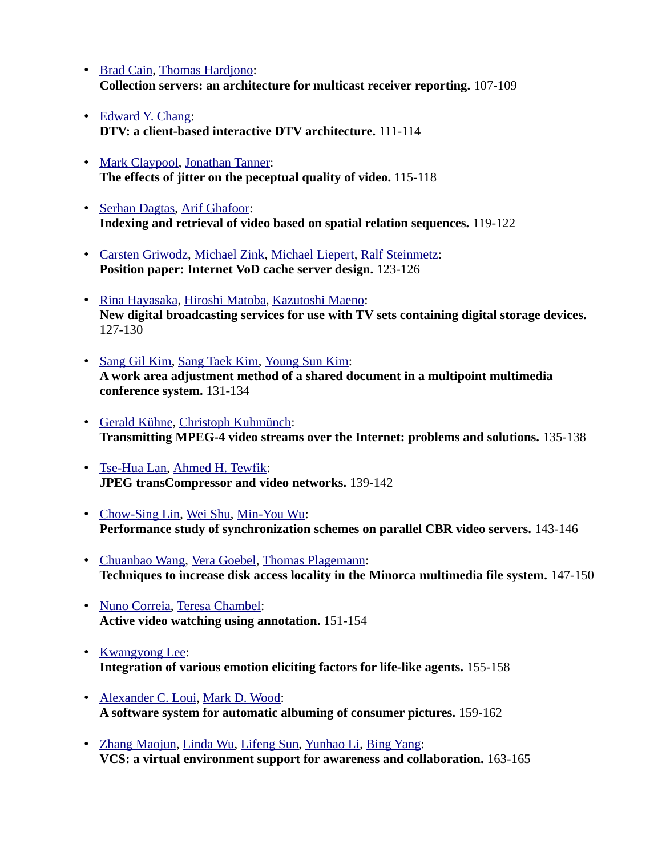- • [Brad Cain,](http://www.informatik.uni-trier.de/~ley/db/indices/a-tree/c/Cain:Brad.html) [Thomas Hardjono:](http://www.informatik.uni-trier.de/~ley/db/indices/a-tree/h/Hardjono:Thomas.html) **Collection servers: an architecture for multicast receiver reporting.** 107-109
- • [Edward Y. Chang:](http://www.informatik.uni-trier.de/~ley/db/indices/a-tree/c/Chang:Edward_Y=.html) **DTV: a client-based interactive DTV architecture.** 111-114
- • [Mark Claypool,](http://www.informatik.uni-trier.de/~ley/db/indices/a-tree/c/Claypool:Mark.html) [Jonathan Tanner:](http://www.informatik.uni-trier.de/~ley/db/indices/a-tree/t/Tanner:Jonathan.html) **The effects of jitter on the peceptual quality of video.** 115-118
- • [Serhan Dagtas,](http://www.informatik.uni-trier.de/~ley/db/indices/a-tree/d/Dagtas:Serhan.html) [Arif Ghafoor:](http://www.informatik.uni-trier.de/~ley/db/indices/a-tree/g/Ghafoor:Arif.html) **Indexing and retrieval of video based on spatial relation sequences.** 119-122
- • [Carsten Griwodz,](http://www.informatik.uni-trier.de/~ley/db/indices/a-tree/g/Griwodz:Carsten.html) [Michael Zink,](http://www.informatik.uni-trier.de/~ley/db/indices/a-tree/z/Zink:Michael.html) [Michael Liepert,](http://www.informatik.uni-trier.de/~ley/db/indices/a-tree/l/Liepert:Michael.html) [Ralf Steinmetz:](http://www.informatik.uni-trier.de/~ley/db/indices/a-tree/s/Steinmetz:Ralf.html) **Position paper: Internet VoD cache server design.** 123-126
- • [Rina Hayasaka,](http://www.informatik.uni-trier.de/~ley/db/indices/a-tree/h/Hayasaka:Rina.html) [Hiroshi Matoba,](http://www.informatik.uni-trier.de/~ley/db/indices/a-tree/m/Matoba:Hiroshi.html) [Kazutoshi Maeno:](http://www.informatik.uni-trier.de/~ley/db/indices/a-tree/m/Maeno:Kazutoshi.html) **New digital broadcasting services for use with TV sets containing digital storage devices.**  127-130
- • [Sang Gil Kim,](http://www.informatik.uni-trier.de/~ley/db/indices/a-tree/k/Kim:Sang_Gil.html) [Sang Taek Kim,](http://www.informatik.uni-trier.de/~ley/db/indices/a-tree/k/Kim:Sang_Taek.html) [Young Sun Kim:](http://www.informatik.uni-trier.de/~ley/db/indices/a-tree/k/Kim:Young_Sun.html) **A work area adjustment method of a shared document in a multipoint multimedia conference system.** 131-134
- • [Gerald Kühne,](http://www.informatik.uni-trier.de/~ley/db/indices/a-tree/k/K=uuml=hne:Gerald.html) [Christoph Kuhmünch:](http://www.informatik.uni-trier.de/~ley/db/indices/a-tree/k/Kuhm=uuml=nch:Christoph.html) **Transmitting MPEG-4 video streams over the Internet: problems and solutions.** 135-138
- • [Tse-Hua Lan,](http://www.informatik.uni-trier.de/~ley/db/indices/a-tree/l/Lan:Tse=Hua.html) [Ahmed H. Tewfik:](http://www.informatik.uni-trier.de/~ley/db/indices/a-tree/t/Tewfik:Ahmed_H=.html) **JPEG transCompressor and video networks.** 139-142
- • [Chow-Sing Lin,](http://www.informatik.uni-trier.de/~ley/db/indices/a-tree/l/Lin:Chow=Sing.html) [Wei Shu,](http://www.informatik.uni-trier.de/~ley/db/indices/a-tree/s/Shu:Wei.html) [Min-You Wu:](http://www.informatik.uni-trier.de/~ley/db/indices/a-tree/w/Wu:Min=You.html) **Performance study of synchronization schemes on parallel CBR video servers.** 143-146
- • [Chuanbao Wang,](http://www.informatik.uni-trier.de/~ley/db/indices/a-tree/w/Wang:Chuanbao.html) [Vera Goebel,](http://www.informatik.uni-trier.de/~ley/db/indices/a-tree/g/Goebel:Vera.html) [Thomas Plagemann:](http://www.informatik.uni-trier.de/~ley/db/indices/a-tree/p/Plagemann:Thomas.html) **Techniques to increase disk access locality in the Minorca multimedia file system.** 147-150
- • [Nuno Correia,](http://www.informatik.uni-trier.de/~ley/db/indices/a-tree/c/Correia:Nuno.html) [Teresa Chambel:](http://www.informatik.uni-trier.de/~ley/db/indices/a-tree/c/Chambel:Teresa.html) **Active video watching using annotation.** 151-154
- • [Kwangyong Lee:](http://www.informatik.uni-trier.de/~ley/db/indices/a-tree/l/Lee:Kwangyong.html) **Integration of various emotion eliciting factors for life-like agents.** 155-158
- • [Alexander C. Loui,](http://www.informatik.uni-trier.de/~ley/db/indices/a-tree/l/Loui:Alexander_C=.html) [Mark D. Wood:](http://www.informatik.uni-trier.de/~ley/db/indices/a-tree/w/Wood:Mark_D=.html) **A software system for automatic albuming of consumer pictures.** 159-162
- • [Zhang Maojun,](http://www.informatik.uni-trier.de/~ley/db/indices/a-tree/m/Maojun:Zhang.html) [Linda Wu,](http://www.informatik.uni-trier.de/~ley/db/indices/a-tree/w/Wu:Linda.html) [Lifeng Sun,](http://www.informatik.uni-trier.de/~ley/db/indices/a-tree/s/Sun:Lifeng.html) [Yunhao Li,](http://www.informatik.uni-trier.de/~ley/db/indices/a-tree/l/Li:Yunhao.html) [Bing Yang:](http://www.informatik.uni-trier.de/~ley/db/indices/a-tree/y/Yang:Bing.html) **VCS: a virtual environment support for awareness and collaboration.** 163-165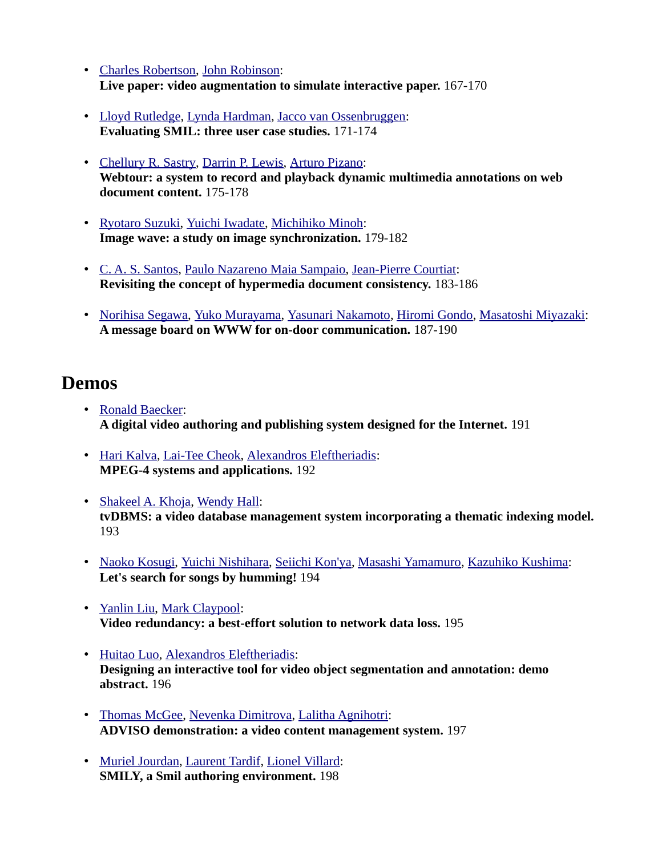- • [Charles Robertson,](http://www.informatik.uni-trier.de/~ley/db/indices/a-tree/r/Robertson:Charles.html) [John Robinson:](http://www.informatik.uni-trier.de/~ley/db/indices/a-tree/r/Robinson:John.html) **Live paper: video augmentation to simulate interactive paper.** 167-170
- • [Lloyd Rutledge,](http://www.informatik.uni-trier.de/~ley/db/indices/a-tree/r/Rutledge:Lloyd.html) [Lynda Hardman,](http://www.informatik.uni-trier.de/~ley/db/indices/a-tree/h/Hardman:Lynda.html) [Jacco van Ossenbruggen:](http://www.informatik.uni-trier.de/~ley/db/indices/a-tree/o/Ossenbruggen:Jacco_van.html) **Evaluating SMIL: three user case studies.** 171-174
- • [Chellury R. Sastry,](http://www.informatik.uni-trier.de/~ley/db/indices/a-tree/s/Sastry:Chellury_R=.html) [Darrin P. Lewis,](http://www.informatik.uni-trier.de/~ley/db/indices/a-tree/l/Lewis:Darrin_P=.html) [Arturo Pizano:](http://www.informatik.uni-trier.de/~ley/db/indices/a-tree/p/Pizano:Arturo.html) **Webtour: a system to record and playback dynamic multimedia annotations on web document content.** 175-178
- • [Ryotaro Suzuki,](http://www.informatik.uni-trier.de/~ley/db/indices/a-tree/s/Suzuki:Ryotaro.html) [Yuichi Iwadate,](http://www.informatik.uni-trier.de/~ley/db/indices/a-tree/i/Iwadate:Yuichi.html) [Michihiko Minoh:](http://www.informatik.uni-trier.de/~ley/db/indices/a-tree/m/Minoh:Michihiko.html) **Image wave: a study on image synchronization.** 179-182
- • [C. A. S. Santos,](http://www.informatik.uni-trier.de/~ley/db/indices/a-tree/s/Santos:C=_A=_S=.html) [Paulo Nazareno Maia Sampaio,](http://www.informatik.uni-trier.de/~ley/db/indices/a-tree/s/Sampaio:Paulo_Nazareno_Maia.html) [Jean-Pierre Courtiat:](http://www.informatik.uni-trier.de/~ley/db/indices/a-tree/c/Courtiat:Jean=Pierre.html) **Revisiting the concept of hypermedia document consistency.** 183-186
- • [Norihisa Segawa,](http://www.informatik.uni-trier.de/~ley/db/indices/a-tree/s/Segawa:Norihisa.html) [Yuko Murayama,](http://www.informatik.uni-trier.de/~ley/db/indices/a-tree/m/Murayama:Yuko.html) [Yasunari Nakamoto,](http://www.informatik.uni-trier.de/~ley/db/indices/a-tree/n/Nakamoto:Yasunari.html) [Hiromi Gondo,](http://www.informatik.uni-trier.de/~ley/db/indices/a-tree/g/Gondo:Hiromi.html) [Masatoshi Miyazaki:](http://www.informatik.uni-trier.de/~ley/db/indices/a-tree/m/Miyazaki:Masatoshi.html) **A message board on WWW for on-door communication.** 187-190

#### **Demos**

- • [Ronald Baecker:](http://www.informatik.uni-trier.de/~ley/db/indices/a-tree/b/Baecker:Ronald.html) **A digital video authoring and publishing system designed for the Internet.** 191
- • [Hari Kalva,](http://www.informatik.uni-trier.de/~ley/db/indices/a-tree/k/Kalva:Hari.html) [Lai-Tee Cheok,](http://www.informatik.uni-trier.de/~ley/db/indices/a-tree/c/Cheok:Lai=Tee.html) [Alexandros Eleftheriadis:](http://www.informatik.uni-trier.de/~ley/db/indices/a-tree/e/Eleftheriadis:Alexandros.html) **MPEG-4 systems and applications.** 192
- • [Shakeel A. Khoja,](http://www.informatik.uni-trier.de/~ley/db/indices/a-tree/k/Khoja:Shakeel_A=.html) [Wendy Hall:](http://www.informatik.uni-trier.de/~ley/db/indices/a-tree/h/Hall:Wendy.html) **tvDBMS: a video database management system incorporating a thematic indexing model.**  193
- • [Naoko Kosugi,](http://www.informatik.uni-trier.de/~ley/db/indices/a-tree/k/Kosugi:Naoko.html) [Yuichi Nishihara,](http://www.informatik.uni-trier.de/~ley/db/indices/a-tree/n/Nishihara:Yuichi.html) [Seiichi Kon'ya,](http://www.informatik.uni-trier.de/~ley/db/indices/a-tree/k/Kon=ya:Seiichi.html) [Masashi Yamamuro,](http://www.informatik.uni-trier.de/~ley/db/indices/a-tree/y/Yamamuro:Masashi.html) [Kazuhiko Kushima:](http://www.informatik.uni-trier.de/~ley/db/indices/a-tree/k/Kushima:Kazuhiko.html) **Let's search for songs by humming!** 194
- • [Yanlin Liu,](http://www.informatik.uni-trier.de/~ley/db/indices/a-tree/l/Liu:Yanlin.html) [Mark Claypool:](http://www.informatik.uni-trier.de/~ley/db/indices/a-tree/c/Claypool:Mark.html) **Video redundancy: a best-effort solution to network data loss.** 195
- • [Huitao Luo,](http://www.informatik.uni-trier.de/~ley/db/indices/a-tree/l/Luo:Huitao.html) [Alexandros Eleftheriadis:](http://www.informatik.uni-trier.de/~ley/db/indices/a-tree/e/Eleftheriadis:Alexandros.html) **Designing an interactive tool for video object segmentation and annotation: demo abstract.** 196
- • [Thomas McGee,](http://www.informatik.uni-trier.de/~ley/db/indices/a-tree/m/McGee:Thomas.html) [Nevenka Dimitrova,](http://www.informatik.uni-trier.de/~ley/db/indices/a-tree/d/Dimitrova:Nevenka.html) [Lalitha Agnihotri:](http://www.informatik.uni-trier.de/~ley/db/indices/a-tree/a/Agnihotri:Lalitha.html) **ADVISO demonstration: a video content management system.** 197
- • [Muriel Jourdan,](http://www.informatik.uni-trier.de/~ley/db/indices/a-tree/j/Jourdan:Muriel.html) [Laurent Tardif,](http://www.informatik.uni-trier.de/~ley/db/indices/a-tree/t/Tardif:Laurent.html) [Lionel Villard:](http://www.informatik.uni-trier.de/~ley/db/indices/a-tree/v/Villard:Lionel.html) **SMILY, a Smil authoring environment.** 198